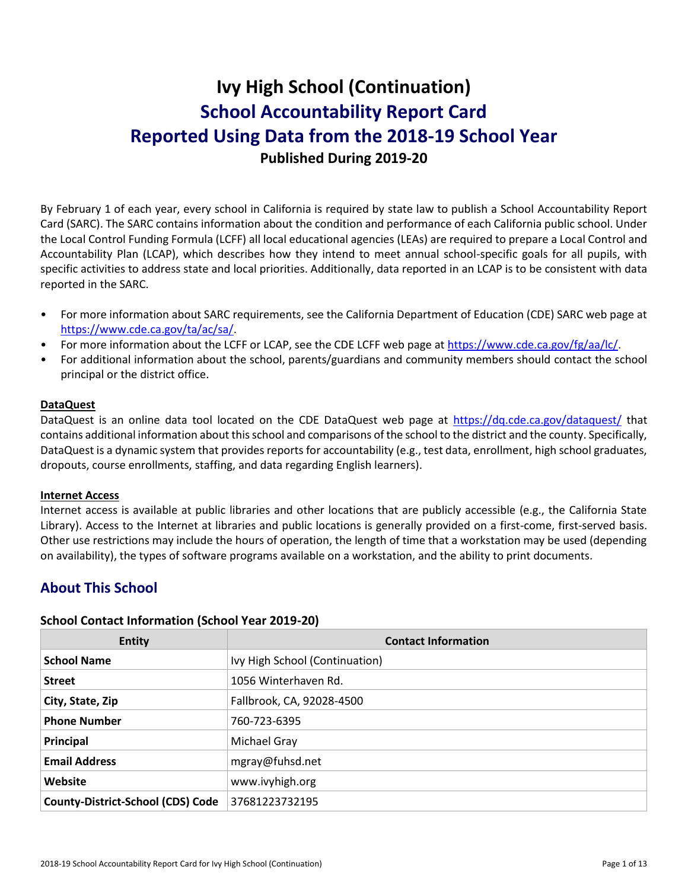# **Ivy High School (Continuation) School Accountability Report Card Reported Using Data from the 2018-19 School Year Published During 2019-20**

By February 1 of each year, every school in California is required by state law to publish a School Accountability Report Card (SARC). The SARC contains information about the condition and performance of each California public school. Under the Local Control Funding Formula (LCFF) all local educational agencies (LEAs) are required to prepare a Local Control and Accountability Plan (LCAP), which describes how they intend to meet annual school-specific goals for all pupils, with specific activities to address state and local priorities. Additionally, data reported in an LCAP is to be consistent with data reported in the SARC.

- For more information about SARC requirements, see the California Department of Education (CDE) SARC web page at [https://www.cde.ca.gov/ta/ac/sa/.](https://www.cde.ca.gov/ta/ac/sa/)
- For more information about the LCFF or LCAP, see the CDE LCFF web page at [https://www.cde.ca.gov/fg/aa/lc/.](https://www.cde.ca.gov/fg/aa/lc/)
- For additional information about the school, parents/guardians and community members should contact the school principal or the district office.

#### **DataQuest**

DataQuest is an online data tool located on the CDE DataQuest web page at<https://dq.cde.ca.gov/dataquest/> that contains additional information about this school and comparisons of the school to the district and the county. Specifically, DataQuest is a dynamic system that provides reports for accountability (e.g., test data, enrollment, high school graduates, dropouts, course enrollments, staffing, and data regarding English learners).

#### **Internet Access**

Internet access is available at public libraries and other locations that are publicly accessible (e.g., the California State Library). Access to the Internet at libraries and public locations is generally provided on a first-come, first-served basis. Other use restrictions may include the hours of operation, the length of time that a workstation may be used (depending on availability), the types of software programs available on a workstation, and the ability to print documents.

# **About This School**

#### **School Contact Information (School Year 2019-20)**

| Entity                                   | <b>Contact Information</b>     |
|------------------------------------------|--------------------------------|
| <b>School Name</b>                       | Ivy High School (Continuation) |
| <b>Street</b>                            | 1056 Winterhaven Rd.           |
| City, State, Zip                         | Fallbrook, CA, 92028-4500      |
| <b>Phone Number</b>                      | 760-723-6395                   |
| Principal                                | Michael Gray                   |
| <b>Email Address</b>                     | mgray@fuhsd.net                |
| Website                                  | www.ivyhigh.org                |
| <b>County-District-School (CDS) Code</b> | 37681223732195                 |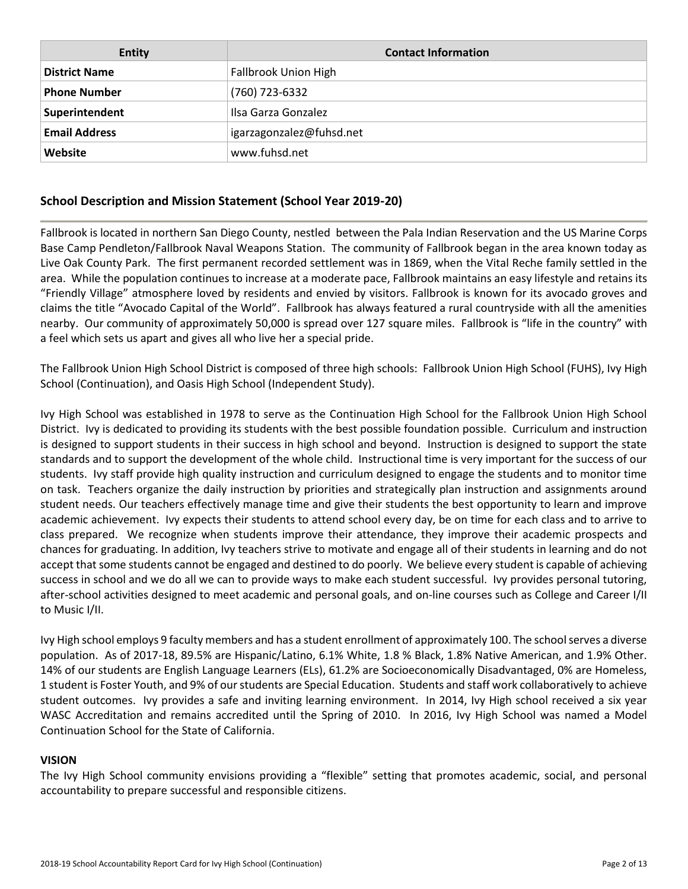| <b>Entity</b>        | <b>Contact Information</b> |
|----------------------|----------------------------|
| <b>District Name</b> | Fallbrook Union High       |
| <b>Phone Number</b>  | (760) 723-6332             |
| Superintendent       | Ilsa Garza Gonzalez        |
| <b>Email Address</b> | igarzagonzalez@fuhsd.net   |
| Website              | www.fuhsd.net              |

# **School Description and Mission Statement (School Year 2019-20)**

Fallbrook is located in northern San Diego County, nestled between the Pala Indian Reservation and the US Marine Corps Base Camp Pendleton/Fallbrook Naval Weapons Station. The community of Fallbrook began in the area known today as Live Oak County Park. The first permanent recorded settlement was in 1869, when the Vital Reche family settled in the area. While the population continues to increase at a moderate pace, Fallbrook maintains an easy lifestyle and retains its "Friendly Village" atmosphere loved by residents and envied by visitors. Fallbrook is known for its avocado groves and claims the title "Avocado Capital of the World". Fallbrook has always featured a rural countryside with all the amenities nearby. Our community of approximately 50,000 is spread over 127 square miles. Fallbrook is "life in the country" with a feel which sets us apart and gives all who live her a special pride.

The Fallbrook Union High School District is composed of three high schools: Fallbrook Union High School (FUHS), Ivy High School (Continuation), and Oasis High School (Independent Study).

Ivy High School was established in 1978 to serve as the Continuation High School for the Fallbrook Union High School District. Ivy is dedicated to providing its students with the best possible foundation possible. Curriculum and instruction is designed to support students in their success in high school and beyond. Instruction is designed to support the state standards and to support the development of the whole child. Instructional time is very important for the success of our students. Ivy staff provide high quality instruction and curriculum designed to engage the students and to monitor time on task. Teachers organize the daily instruction by priorities and strategically plan instruction and assignments around student needs. Our teachers effectively manage time and give their students the best opportunity to learn and improve academic achievement. Ivy expects their students to attend school every day, be on time for each class and to arrive to class prepared. We recognize when students improve their attendance, they improve their academic prospects and chances for graduating. In addition, Ivy teachers strive to motivate and engage all of their students in learning and do not accept that some students cannot be engaged and destined to do poorly. We believe every student is capable of achieving success in school and we do all we can to provide ways to make each student successful. Ivy provides personal tutoring, after-school activities designed to meet academic and personal goals, and on-line courses such as College and Career I/II to Music I/II.

Ivy High school employs 9 faculty members and has a student enrollment of approximately 100. The school serves a diverse population. As of 2017-18, 89.5% are Hispanic/Latino, 6.1% White, 1.8 % Black, 1.8% Native American, and 1.9% Other. 14% of our students are English Language Learners (ELs), 61.2% are Socioeconomically Disadvantaged, 0% are Homeless, 1 student is Foster Youth, and 9% of our students are Special Education. Students and staff work collaboratively to achieve student outcomes. Ivy provides a safe and inviting learning environment. In 2014, Ivy High school received a six year WASC Accreditation and remains accredited until the Spring of 2010. In 2016, Ivy High School was named a Model Continuation School for the State of California.

#### **VISION**

The Ivy High School community envisions providing a "flexible" setting that promotes academic, social, and personal accountability to prepare successful and responsible citizens.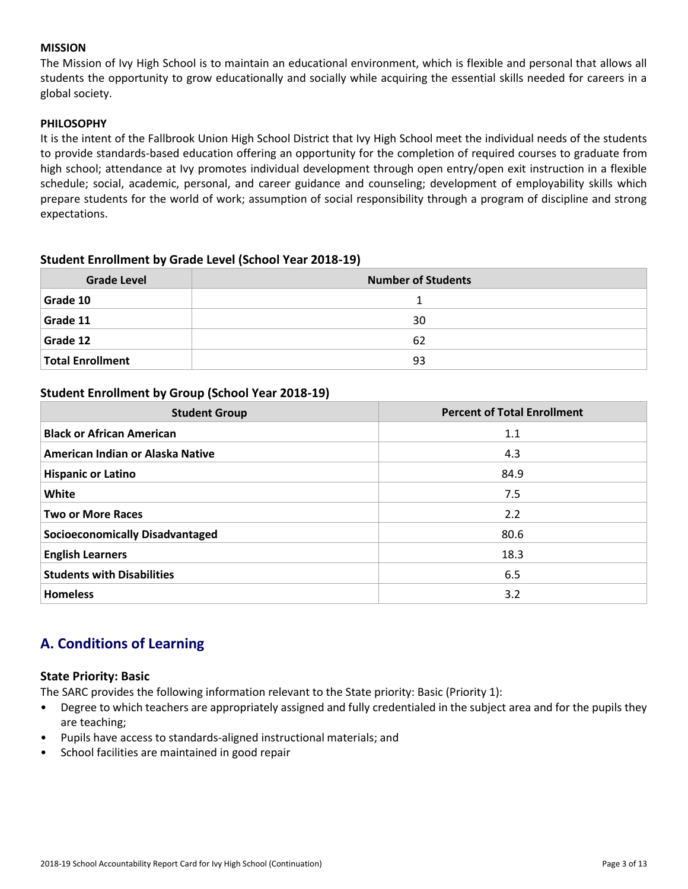#### **MISSION**

The Mission of Ivy High School is to maintain an educational environment, which is flexible and personal that allows all students the opportunity to grow educationally and socially while acquiring the essential skills needed for careers in a global society.

#### **PHILOSOPHY**

It is the intent of the Fallbrook Union High School District that Ivy High School meet the individual needs of the students to provide standards-based education offering an opportunity for the completion of required courses to graduate from high school; attendance at Ivy promotes individual development through open entry/open exit instruction in a flexible schedule; social, academic, personal, and career guidance and counseling; development of employability skills which prepare students for the world of work; assumption of social responsibility through a program of discipline and strong expectations.

#### **Student Enrollment by Grade Level (School Year 2018-19)**

| <b>Grade Level</b>      | <b>Number of Students</b> |
|-------------------------|---------------------------|
| Grade 10                |                           |
| Grade 11                | 30                        |
| Grade 12                | 62                        |
| <b>Total Enrollment</b> | 93                        |

#### **Student Enrollment by Group (School Year 2018-19)**

| <b>Student Group</b>                   | <b>Percent of Total Enrollment</b> |
|----------------------------------------|------------------------------------|
| <b>Black or African American</b>       | 1.1                                |
| American Indian or Alaska Native       | 4.3                                |
| <b>Hispanic or Latino</b>              | 84.9                               |
| White                                  | 7.5                                |
| <b>Two or More Races</b>               | 2.2                                |
| <b>Socioeconomically Disadvantaged</b> | 80.6                               |
| <b>English Learners</b>                | 18.3                               |
| <b>Students with Disabilities</b>      | 6.5                                |
| <b>Homeless</b>                        | 3.2                                |

# **A. Conditions of Learning**

#### **State Priority: Basic**

The SARC provides the following information relevant to the State priority: Basic (Priority 1):

- Degree to which teachers are appropriately assigned and fully credentialed in the subject area and for the pupils they are teaching;
- Pupils have access to standards-aligned instructional materials; and
- School facilities are maintained in good repair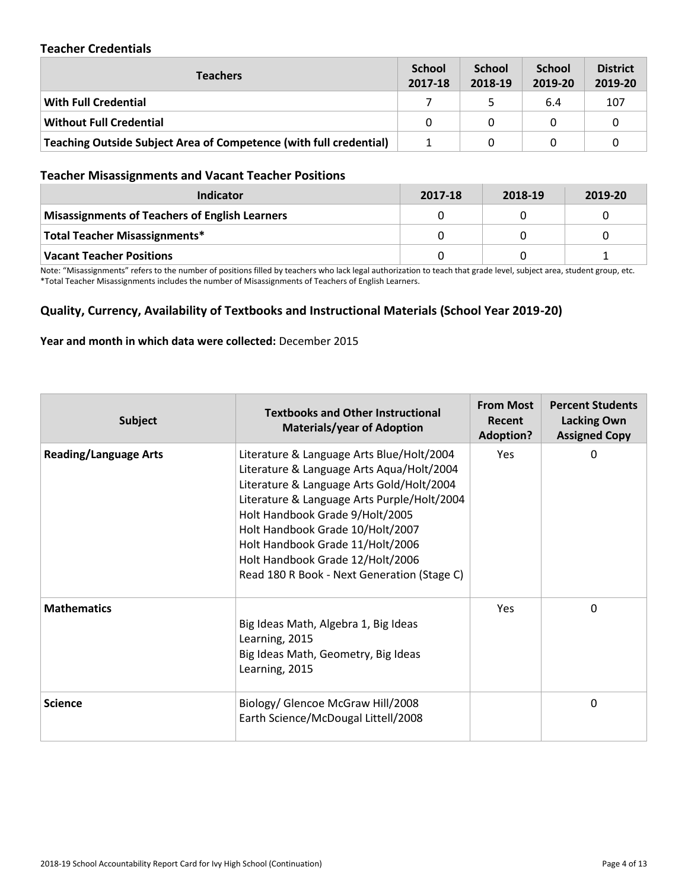### **Teacher Credentials**

| <b>Teachers</b>                                                    | <b>School</b><br>2017-18 | <b>School</b><br>2018-19 | <b>School</b><br>2019-20 | <b>District</b><br>2019-20 |
|--------------------------------------------------------------------|--------------------------|--------------------------|--------------------------|----------------------------|
| With Full Credential                                               |                          |                          | 6.4                      | 107                        |
| <b>Without Full Credential</b>                                     | 0                        | 0                        | 0                        |                            |
| Teaching Outside Subject Area of Competence (with full credential) |                          | 0                        |                          |                            |

### **Teacher Misassignments and Vacant Teacher Positions**

| Indicator                                      | 2017-18 | 2018-19 | 2019-20 |
|------------------------------------------------|---------|---------|---------|
| Misassignments of Teachers of English Learners |         |         |         |
| <b>Total Teacher Misassignments*</b>           |         |         |         |
| Vacant Teacher Positions                       |         |         |         |

Note: "Misassignments" refers to the number of positions filled by teachers who lack legal authorization to teach that grade level, subject area, student group, etc. \*Total Teacher Misassignments includes the number of Misassignments of Teachers of English Learners.

# **Quality, Currency, Availability of Textbooks and Instructional Materials (School Year 2019-20)**

#### **Year and month in which data were collected:** December 2015

| <b>Subject</b>               | <b>Textbooks and Other Instructional</b><br><b>Materials/year of Adoption</b>                                                                                                                                                                                                                                                                                                    | <b>From Most</b><br>Recent<br><b>Adoption?</b> | <b>Percent Students</b><br><b>Lacking Own</b><br><b>Assigned Copy</b> |
|------------------------------|----------------------------------------------------------------------------------------------------------------------------------------------------------------------------------------------------------------------------------------------------------------------------------------------------------------------------------------------------------------------------------|------------------------------------------------|-----------------------------------------------------------------------|
| <b>Reading/Language Arts</b> | Literature & Language Arts Blue/Holt/2004<br>Literature & Language Arts Aqua/Holt/2004<br>Literature & Language Arts Gold/Holt/2004<br>Literature & Language Arts Purple/Holt/2004<br>Holt Handbook Grade 9/Holt/2005<br>Holt Handbook Grade 10/Holt/2007<br>Holt Handbook Grade 11/Holt/2006<br>Holt Handbook Grade 12/Holt/2006<br>Read 180 R Book - Next Generation (Stage C) | Yes                                            | 0                                                                     |
| <b>Mathematics</b>           | Big Ideas Math, Algebra 1, Big Ideas<br>Learning, 2015<br>Big Ideas Math, Geometry, Big Ideas<br>Learning, 2015                                                                                                                                                                                                                                                                  | Yes                                            | 0                                                                     |
| <b>Science</b>               | Biology/ Glencoe McGraw Hill/2008<br>Earth Science/McDougal Littell/2008                                                                                                                                                                                                                                                                                                         |                                                | 0                                                                     |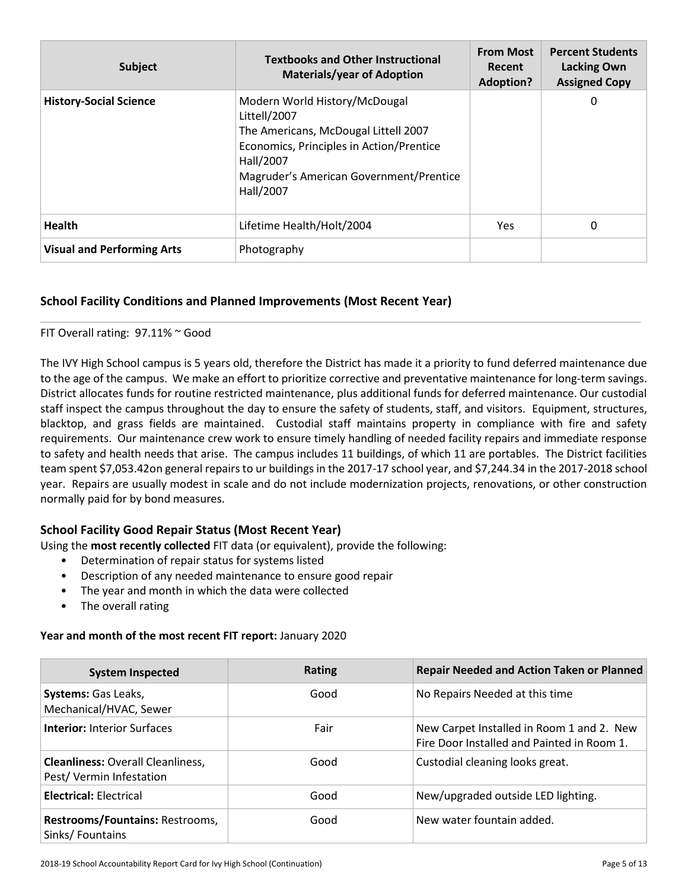| <b>Subject</b>                    | <b>Textbooks and Other Instructional</b><br><b>Materials/year of Adoption</b>                                                                                                                          | <b>From Most</b><br>Recent<br><b>Adoption?</b> | <b>Percent Students</b><br><b>Lacking Own</b><br><b>Assigned Copy</b> |
|-----------------------------------|--------------------------------------------------------------------------------------------------------------------------------------------------------------------------------------------------------|------------------------------------------------|-----------------------------------------------------------------------|
| <b>History-Social Science</b>     | Modern World History/McDougal<br>Littell/2007<br>The Americans, McDougal Littell 2007<br>Economics, Principles in Action/Prentice<br>Hall/2007<br>Magruder's American Government/Prentice<br>Hall/2007 |                                                | 0                                                                     |
| <b>Health</b>                     | Lifetime Health/Holt/2004                                                                                                                                                                              | <b>Yes</b>                                     | 0                                                                     |
| <b>Visual and Performing Arts</b> | Photography                                                                                                                                                                                            |                                                |                                                                       |

# **School Facility Conditions and Planned Improvements (Most Recent Year)**

#### FIT Overall rating: 97.11% ~ Good

The IVY High School campus is 5 years old, therefore the District has made it a priority to fund deferred maintenance due to the age of the campus. We make an effort to prioritize corrective and preventative maintenance for long-term savings. District allocates funds for routine restricted maintenance, plus additional funds for deferred maintenance. Our custodial staff inspect the campus throughout the day to ensure the safety of students, staff, and visitors. Equipment, structures, blacktop, and grass fields are maintained. Custodial staff maintains property in compliance with fire and safety requirements. Our maintenance crew work to ensure timely handling of needed facility repairs and immediate response to safety and health needs that arise. The campus includes 11 buildings, of which 11 are portables. The District facilities team spent \$7,053.42on general repairs to ur buildings in the 2017-17 school year, and \$7,244.34 in the 2017-2018 school year. Repairs are usually modest in scale and do not include modernization projects, renovations, or other construction normally paid for by bond measures.

# **School Facility Good Repair Status (Most Recent Year)**

Using the **most recently collected** FIT data (or equivalent), provide the following:

- Determination of repair status for systems listed
- Description of any needed maintenance to ensure good repair
- The year and month in which the data were collected
- The overall rating

#### **Year and month of the most recent FIT report:** January 2020

| <b>System Inspected</b>                                             | <b>Rating</b> | <b>Repair Needed and Action Taken or Planned</b>                                        |
|---------------------------------------------------------------------|---------------|-----------------------------------------------------------------------------------------|
| Systems: Gas Leaks,<br>Mechanical/HVAC, Sewer                       | Good          | No Repairs Needed at this time                                                          |
| <b>Interior: Interior Surfaces</b>                                  | Fair          | New Carpet Installed in Room 1 and 2. New<br>Fire Door Installed and Painted in Room 1. |
| <b>Cleanliness: Overall Cleanliness,</b><br>Pest/Vermin Infestation | Good          | Custodial cleaning looks great.                                                         |
| <b>Electrical: Electrical</b>                                       | Good          | New/upgraded outside LED lighting.                                                      |
| Restrooms/Fountains: Restrooms,<br>Sinks/Fountains                  | Good          | New water fountain added.                                                               |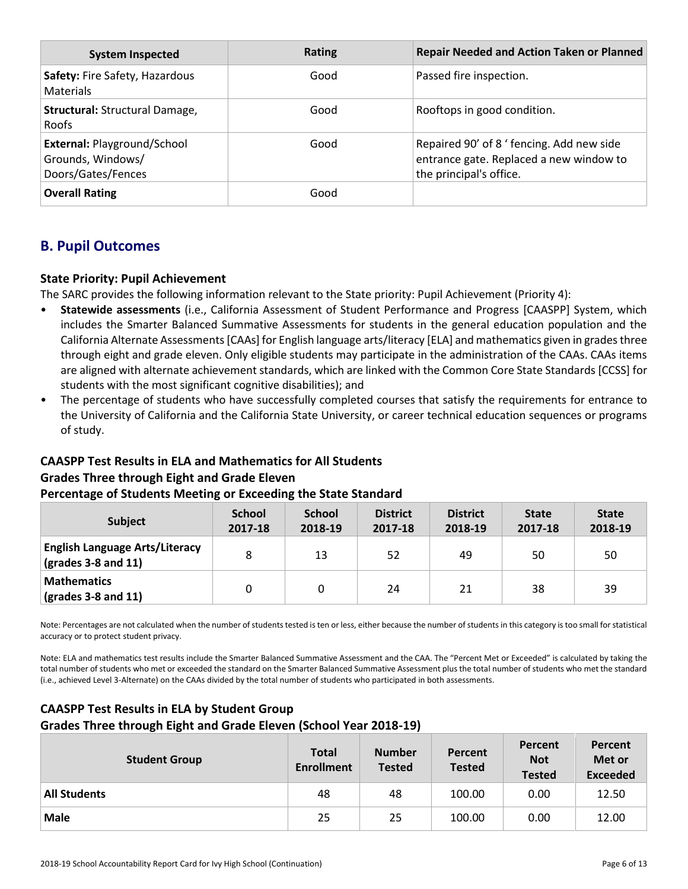| <b>System Inspected</b>                                                       | <b>Rating</b> | <b>Repair Needed and Action Taken or Planned</b>                                                                |
|-------------------------------------------------------------------------------|---------------|-----------------------------------------------------------------------------------------------------------------|
| Safety: Fire Safety, Hazardous<br><b>Materials</b>                            | Good          | Passed fire inspection.                                                                                         |
| Structural: Structural Damage,<br>Roofs                                       | Good          | Rooftops in good condition.                                                                                     |
| <b>External: Playground/School</b><br>Grounds, Windows/<br>Doors/Gates/Fences | Good          | Repaired 90' of 8 ' fencing. Add new side<br>entrance gate. Replaced a new window to<br>the principal's office. |
| <b>Overall Rating</b>                                                         | Good          |                                                                                                                 |

# **B. Pupil Outcomes**

# **State Priority: Pupil Achievement**

The SARC provides the following information relevant to the State priority: Pupil Achievement (Priority 4):

- **Statewide assessments** (i.e., California Assessment of Student Performance and Progress [CAASPP] System, which includes the Smarter Balanced Summative Assessments for students in the general education population and the California Alternate Assessments [CAAs] for English language arts/literacy [ELA] and mathematics given in grades three through eight and grade eleven. Only eligible students may participate in the administration of the CAAs. CAAs items are aligned with alternate achievement standards, which are linked with the Common Core State Standards [CCSS] for students with the most significant cognitive disabilities); and
- The percentage of students who have successfully completed courses that satisfy the requirements for entrance to the University of California and the California State University, or career technical education sequences or programs of study.

# **CAASPP Test Results in ELA and Mathematics for All Students**

# **Grades Three through Eight and Grade Eleven**

#### **Percentage of Students Meeting or Exceeding the State Standard**

| <b>Subject</b>                                                                              | <b>School</b><br>2017-18 | <b>School</b><br>2018-19 | <b>District</b><br>2017-18 | <b>District</b><br>2018-19 | <b>State</b><br>2017-18 | <b>State</b><br>2018-19 |
|---------------------------------------------------------------------------------------------|--------------------------|--------------------------|----------------------------|----------------------------|-------------------------|-------------------------|
| <b>English Language Arts/Literacy</b><br>$\left(\text{grades }3 - 8 \text{ and } 11\right)$ | 8                        | 13                       | 52                         | 49                         | 50                      | 50                      |
| <b>Mathematics</b><br>$\sqrt{(grades 3-8 and 11)}$                                          |                          |                          | 24                         | 21                         | 38                      | 39                      |

Note: Percentages are not calculated when the number of students tested is ten or less, either because the number of students in this category is too small for statistical accuracy or to protect student privacy.

Note: ELA and mathematics test results include the Smarter Balanced Summative Assessment and the CAA. The "Percent Met or Exceeded" is calculated by taking the total number of students who met or exceeded the standard on the Smarter Balanced Summative Assessment plus the total number of students who met the standard (i.e., achieved Level 3-Alternate) on the CAAs divided by the total number of students who participated in both assessments.

# **CAASPP Test Results in ELA by Student Group Grades Three through Eight and Grade Eleven (School Year 2018-19)**

| <b>Student Group</b> | <b>Total</b><br><b>Enrollment</b> | <b>Number</b><br><b>Tested</b> | Percent<br><b>Tested</b> | Percent<br><b>Not</b><br><b>Tested</b> | Percent<br>Met or<br><b>Exceeded</b> |
|----------------------|-----------------------------------|--------------------------------|--------------------------|----------------------------------------|--------------------------------------|
| <b>All Students</b>  | 48                                | 48                             | 100.00                   | 0.00                                   | 12.50                                |
| <b>Male</b>          | 25                                | 25                             | 100.00                   | 0.00                                   | 12.00                                |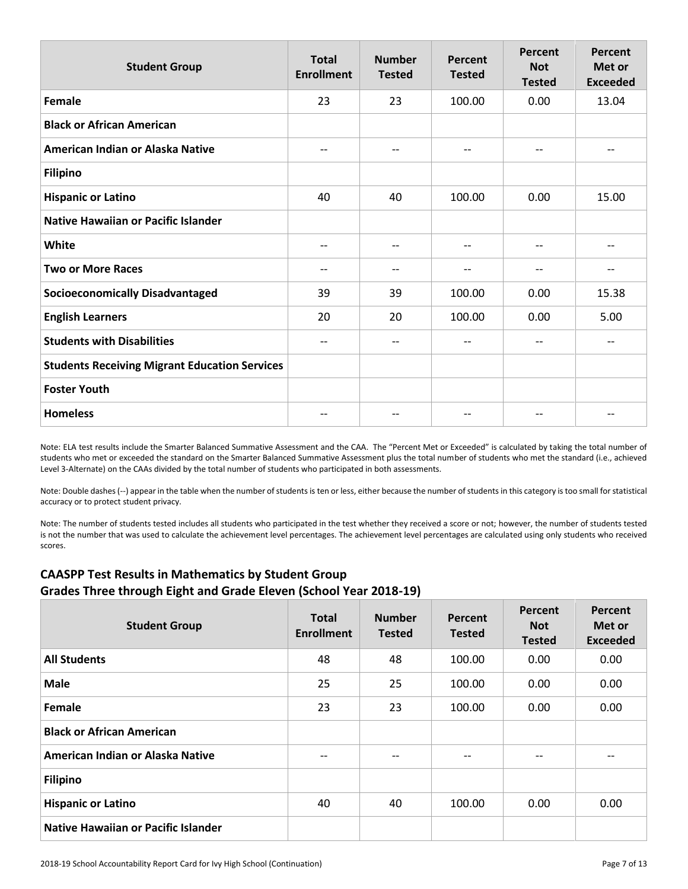| <b>Student Group</b>                                 | <b>Total</b><br><b>Enrollment</b> | <b>Number</b><br><b>Tested</b> | Percent<br><b>Tested</b> | Percent<br><b>Not</b><br><b>Tested</b> | Percent<br>Met or<br><b>Exceeded</b> |
|------------------------------------------------------|-----------------------------------|--------------------------------|--------------------------|----------------------------------------|--------------------------------------|
| <b>Female</b>                                        | 23                                | 23                             | 100.00                   | 0.00                                   | 13.04                                |
| <b>Black or African American</b>                     |                                   |                                |                          |                                        |                                      |
| American Indian or Alaska Native                     | $-$                               | --                             | $\overline{\phantom{a}}$ | $-$                                    | $-$                                  |
| <b>Filipino</b>                                      |                                   |                                |                          |                                        |                                      |
| <b>Hispanic or Latino</b>                            | 40                                | 40                             | 100.00                   | 0.00                                   | 15.00                                |
| <b>Native Hawaiian or Pacific Islander</b>           |                                   |                                |                          |                                        |                                      |
| White                                                | $-$                               | --                             | $\overline{\phantom{a}}$ | $-$                                    | $-$                                  |
| <b>Two or More Races</b>                             | --                                |                                | $\overline{\phantom{a}}$ | $-$                                    | --                                   |
| <b>Socioeconomically Disadvantaged</b>               | 39                                | 39                             | 100.00                   | 0.00                                   | 15.38                                |
| <b>English Learners</b>                              | 20                                | 20                             | 100.00                   | 0.00                                   | 5.00                                 |
| <b>Students with Disabilities</b>                    | $-$                               | --                             | $\overline{\phantom{a}}$ | $-$                                    | $-$                                  |
| <b>Students Receiving Migrant Education Services</b> |                                   |                                |                          |                                        |                                      |
| <b>Foster Youth</b>                                  |                                   |                                |                          |                                        |                                      |
| <b>Homeless</b>                                      |                                   | --                             | $- -$                    | --                                     | --                                   |

Note: ELA test results include the Smarter Balanced Summative Assessment and the CAA. The "Percent Met or Exceeded" is calculated by taking the total number of students who met or exceeded the standard on the Smarter Balanced Summative Assessment plus the total number of students who met the standard (i.e., achieved Level 3-Alternate) on the CAAs divided by the total number of students who participated in both assessments.

Note: Double dashes (--) appear in the table when the number of students is ten or less, either because the number of students in this category is too small for statistical accuracy or to protect student privacy.

Note: The number of students tested includes all students who participated in the test whether they received a score or not; however, the number of students tested is not the number that was used to calculate the achievement level percentages. The achievement level percentages are calculated using only students who received scores.

# **CAASPP Test Results in Mathematics by Student Group Grades Three through Eight and Grade Eleven (School Year 2018-19)**

| <b>Student Group</b>                       | <b>Total</b><br><b>Enrollment</b> | <b>Number</b><br><b>Tested</b> | Percent<br><b>Tested</b> | Percent<br><b>Not</b><br><b>Tested</b> | Percent<br>Met or<br><b>Exceeded</b> |
|--------------------------------------------|-----------------------------------|--------------------------------|--------------------------|----------------------------------------|--------------------------------------|
| <b>All Students</b>                        | 48                                | 48                             | 100.00                   | 0.00                                   | 0.00                                 |
| <b>Male</b>                                | 25                                | 25                             | 100.00                   | 0.00                                   | 0.00                                 |
| Female                                     | 23                                | 23                             | 100.00                   | 0.00                                   | 0.00                                 |
| <b>Black or African American</b>           |                                   |                                |                          |                                        |                                      |
| American Indian or Alaska Native           | $- -$                             | $- -$                          | $- -$                    | --                                     | --                                   |
| <b>Filipino</b>                            |                                   |                                |                          |                                        |                                      |
| <b>Hispanic or Latino</b>                  | 40                                | 40                             | 100.00                   | 0.00                                   | 0.00                                 |
| <b>Native Hawaiian or Pacific Islander</b> |                                   |                                |                          |                                        |                                      |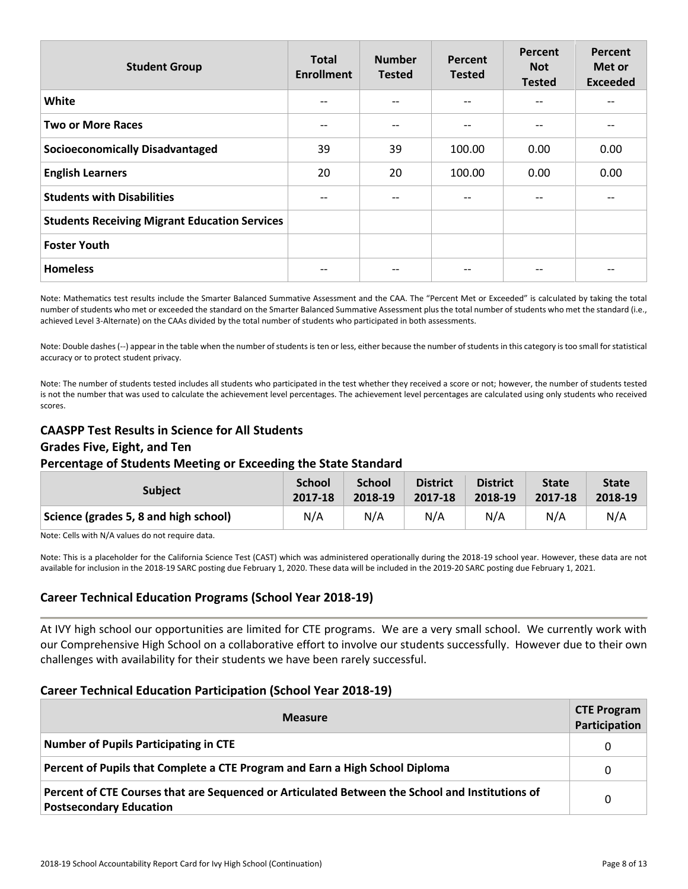| <b>Student Group</b>                                 | <b>Total</b><br><b>Enrollment</b> | <b>Number</b><br><b>Tested</b> | Percent<br><b>Tested</b> | Percent<br><b>Not</b><br><b>Tested</b> | Percent<br>Met or<br><b>Exceeded</b> |
|------------------------------------------------------|-----------------------------------|--------------------------------|--------------------------|----------------------------------------|--------------------------------------|
| White                                                | $-$                               |                                | $\qquad \qquad -$        |                                        |                                      |
| <b>Two or More Races</b>                             | $-$                               | --                             | $\qquad \qquad -$        | $-$                                    |                                      |
| <b>Socioeconomically Disadvantaged</b>               | 39                                | 39                             | 100.00                   | 0.00                                   | 0.00                                 |
| <b>English Learners</b>                              | 20                                | 20                             | 100.00                   | 0.00                                   | 0.00                                 |
| <b>Students with Disabilities</b>                    |                                   |                                | $\qquad \qquad -$        |                                        |                                      |
| <b>Students Receiving Migrant Education Services</b> |                                   |                                |                          |                                        |                                      |
| <b>Foster Youth</b>                                  |                                   |                                |                          |                                        |                                      |
| <b>Homeless</b>                                      |                                   |                                | --                       | --                                     |                                      |

Note: Mathematics test results include the Smarter Balanced Summative Assessment and the CAA. The "Percent Met or Exceeded" is calculated by taking the total number of students who met or exceeded the standard on the Smarter Balanced Summative Assessment plus the total number of students who met the standard (i.e., achieved Level 3-Alternate) on the CAAs divided by the total number of students who participated in both assessments.

Note: Double dashes (--) appear in the table when the number of students is ten or less, either because the number of students in this category is too small for statistical accuracy or to protect student privacy.

Note: The number of students tested includes all students who participated in the test whether they received a score or not; however, the number of students tested is not the number that was used to calculate the achievement level percentages. The achievement level percentages are calculated using only students who received scores.

# **CAASPP Test Results in Science for All Students**

#### **Grades Five, Eight, and Ten**

#### **Percentage of Students Meeting or Exceeding the State Standard**

| <b>Subject</b>                        | <b>School</b> | <b>School</b> | <b>District</b> | <b>District</b> | <b>State</b> | <b>State</b> |
|---------------------------------------|---------------|---------------|-----------------|-----------------|--------------|--------------|
|                                       | 2017-18       | 2018-19       | 2017-18         | 2018-19         | 2017-18      | 2018-19      |
| Science (grades 5, 8 and high school) | N/A           | N/A           | N/A             | N/A             | N/A          | N/A          |

Note: Cells with N/A values do not require data.

Note: This is a placeholder for the California Science Test (CAST) which was administered operationally during the 2018-19 school year. However, these data are not available for inclusion in the 2018-19 SARC posting due February 1, 2020. These data will be included in the 2019-20 SARC posting due February 1, 2021.

# **Career Technical Education Programs (School Year 2018-19)**

At IVY high school our opportunities are limited for CTE programs. We are a very small school. We currently work with our Comprehensive High School on a collaborative effort to involve our students successfully. However due to their own challenges with availability for their students we have been rarely successful.

#### **Career Technical Education Participation (School Year 2018-19)**

| <b>Measure</b>                                                                                                                    | <b>CTE Program</b><br>Participation |
|-----------------------------------------------------------------------------------------------------------------------------------|-------------------------------------|
| Number of Pupils Participating in CTE                                                                                             | $\Omega$                            |
| Percent of Pupils that Complete a CTE Program and Earn a High School Diploma                                                      | 0                                   |
| Percent of CTE Courses that are Sequenced or Articulated Between the School and Institutions of<br><b>Postsecondary Education</b> | 0                                   |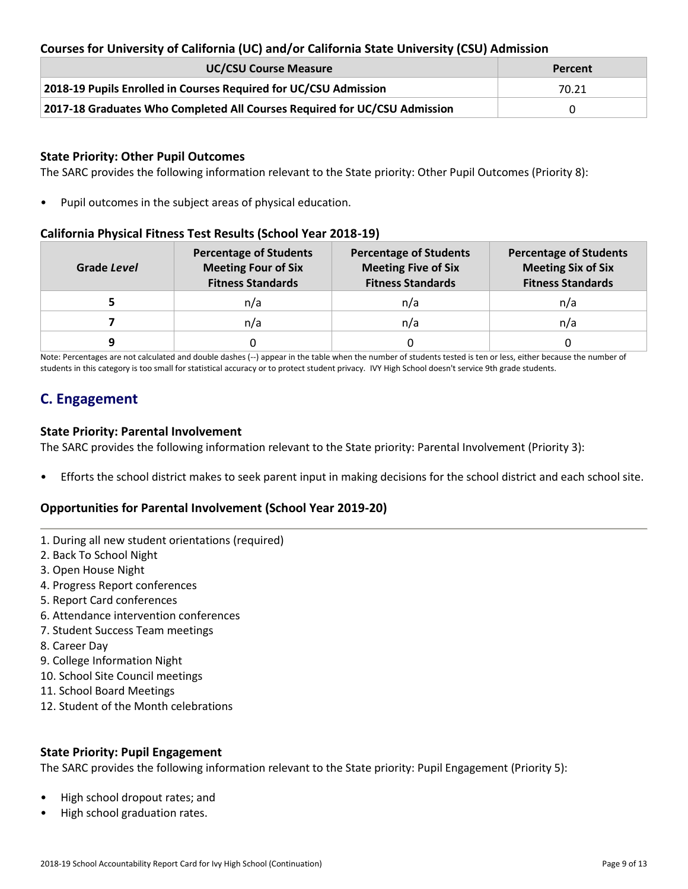# **Courses for University of California (UC) and/or California State University (CSU) Admission**

| <b>UC/CSU Course Measure</b>                                              | Percent |
|---------------------------------------------------------------------------|---------|
| 2018-19 Pupils Enrolled in Courses Required for UC/CSU Admission          | 70.21   |
| 2017-18 Graduates Who Completed All Courses Required for UC/CSU Admission |         |

#### **State Priority: Other Pupil Outcomes**

The SARC provides the following information relevant to the State priority: Other Pupil Outcomes (Priority 8):

• Pupil outcomes in the subject areas of physical education.

#### **California Physical Fitness Test Results (School Year 2018-19)**

| Grade Level | <b>Percentage of Students</b><br><b>Meeting Four of Six</b><br><b>Fitness Standards</b> | <b>Percentage of Students</b><br><b>Meeting Five of Six</b><br><b>Fitness Standards</b> | <b>Percentage of Students</b><br><b>Meeting Six of Six</b><br><b>Fitness Standards</b> |  |  |
|-------------|-----------------------------------------------------------------------------------------|-----------------------------------------------------------------------------------------|----------------------------------------------------------------------------------------|--|--|
|             | n/a                                                                                     | n/a                                                                                     | n/a                                                                                    |  |  |
|             | n/a                                                                                     | n/a                                                                                     | n/a                                                                                    |  |  |
| a           |                                                                                         |                                                                                         |                                                                                        |  |  |

Note: Percentages are not calculated and double dashes (--) appear in the table when the number of students tested is ten or less, either because the number of students in this category is too small for statistical accuracy or to protect student privacy. IVY High School doesn't service 9th grade students.

# **C. Engagement**

#### **State Priority: Parental Involvement**

The SARC provides the following information relevant to the State priority: Parental Involvement (Priority 3):

• Efforts the school district makes to seek parent input in making decisions for the school district and each school site.

#### **Opportunities for Parental Involvement (School Year 2019-20)**

- 1. During all new student orientations (required)
- 2. Back To School Night
- 3. Open House Night
- 4. Progress Report conferences
- 5. Report Card conferences
- 6. Attendance intervention conferences
- 7. Student Success Team meetings
- 8. Career Day
- 9. College Information Night
- 10. School Site Council meetings
- 11. School Board Meetings
- 12. Student of the Month celebrations

#### **State Priority: Pupil Engagement**

The SARC provides the following information relevant to the State priority: Pupil Engagement (Priority 5):

- High school dropout rates; and
- High school graduation rates.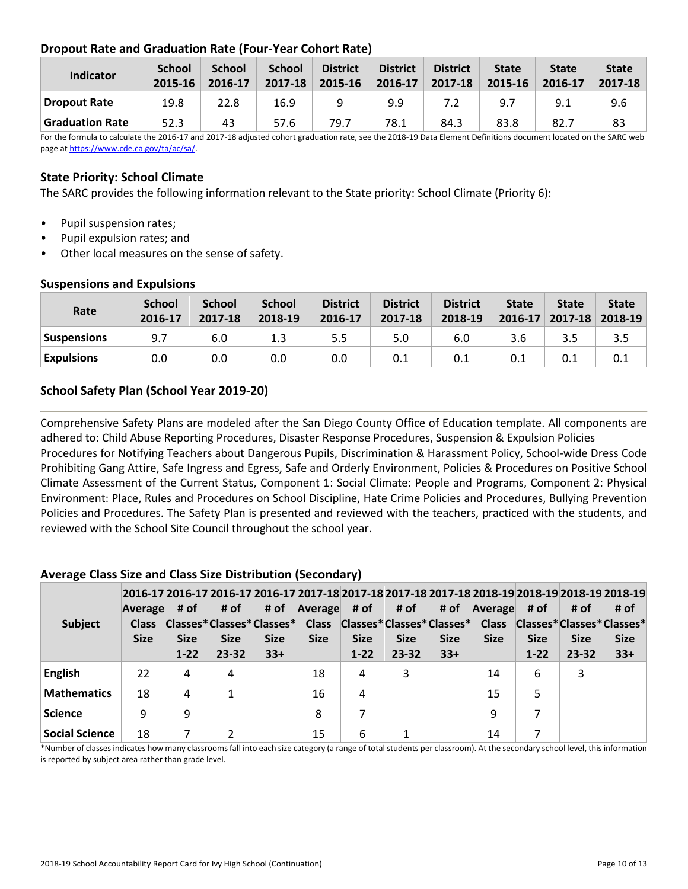# **Dropout Rate and Graduation Rate (Four-Year Cohort Rate)**

| Indicator              | <b>School</b><br>2015-16 | <b>School</b><br>2016-17 | <b>School</b><br>2017-18 | <b>District</b><br>2015-16 | <b>District</b><br>2016-17 | <b>District</b><br>2017-18 | <b>State</b><br>2015-16 | <b>State</b><br>2016-17 | <b>State</b><br>2017-18 |
|------------------------|--------------------------|--------------------------|--------------------------|----------------------------|----------------------------|----------------------------|-------------------------|-------------------------|-------------------------|
| Dropout Rate           | 19.8                     | 22.8                     | 16.9                     |                            | 9.9                        |                            | 9.7                     | 9.1                     | 9.6                     |
| <b>Graduation Rate</b> | 52.3                     | 43                       | 57.6                     | 79.7                       | 78.1                       | 84.3                       | 83.8                    | 82.7                    | 83                      |

For the formula to calculate the 2016-17 and 2017-18 adjusted cohort graduation rate, see the 2018-19 Data Element Definitions document located on the SARC web page a[t https://www.cde.ca.gov/ta/ac/sa/.](https://www.cde.ca.gov/ta/ac/sa/)

### **State Priority: School Climate**

The SARC provides the following information relevant to the State priority: School Climate (Priority 6):

- Pupil suspension rates;
- Pupil expulsion rates; and
- Other local measures on the sense of safety.

#### **Rate School 2016-17 School 2017-18 School 2018-19 District 2016-17 District 2017-18 District 2018-19 State 2016-17 State 2017-18 State 2018-19 Suspensions** | 9.7 | 6.0 | 1.3 | 5.5 | 5.0 | 6.0 | 3.6 | 3.5 | 3.5 **Expulsions** | 0.0 | 0.0 | 0.0 | 0.0 | 0.1 | 0.1 | 0.1 | 0.1 | 0.1

### **Suspensions and Expulsions**

# **School Safety Plan (School Year 2019-20)**

Comprehensive Safety Plans are modeled after the San Diego County Office of Education template. All components are adhered to: Child Abuse Reporting Procedures, Disaster Response Procedures, Suspension & Expulsion Policies

Procedures for Notifying Teachers about Dangerous Pupils, Discrimination & Harassment Policy, School-wide Dress Code Prohibiting Gang Attire, Safe Ingress and Egress, Safe and Orderly Environment, Policies & Procedures on Positive School Climate Assessment of the Current Status, Component 1: Social Climate: People and Programs, Component 2: Physical Environment: Place, Rules and Procedures on School Discipline, Hate Crime Policies and Procedures, Bullying Prevention Policies and Procedures. The Safety Plan is presented and reviewed with the teachers, practiced with the students, and reviewed with the School Site Council throughout the school year.

# **Average Class Size and Class Size Distribution (Secondary)**

| <b>Subject</b>        | Average<br><b>Class</b><br><b>Size</b> | # of<br><b>Size</b><br>$1 - 22$ | # of<br><b>Size</b><br>$23 - 32$ | # of<br><b>Size</b><br>$33+$ | Average<br><b>Size</b> | # of $\parallel$<br><b>Size</b><br>$1 - 22$ | # of<br><b>Size</b><br>$23 - 32$ | # of<br><b>Size</b><br>$33+$ | Average<br><b>Size</b> | # of<br><b>Size</b><br>$1 - 22$ | # of<br><b>Size</b><br>$23 - 32$ | 2016-17 2016-17 2016-17 2016-17 2017-18 2017-18 2017-18 2017-18 2018-19 2018-19 2018-19 2018-19 2018-19<br># of<br>Classes*Classes*Classes* Class Classes*Classes*Classes* Class Classes*Classes*Classes*<br><b>Size</b><br>$33+$ |
|-----------------------|----------------------------------------|---------------------------------|----------------------------------|------------------------------|------------------------|---------------------------------------------|----------------------------------|------------------------------|------------------------|---------------------------------|----------------------------------|-----------------------------------------------------------------------------------------------------------------------------------------------------------------------------------------------------------------------------------|
| <b>English</b>        | 22                                     | 4                               | 4                                |                              | 18                     | 4                                           | 3                                |                              | 14                     | 6                               | 3                                |                                                                                                                                                                                                                                   |
| <b>Mathematics</b>    | 18                                     | 4                               |                                  |                              | 16                     | 4                                           |                                  |                              | 15                     |                                 |                                  |                                                                                                                                                                                                                                   |
| <b>Science</b>        | 9                                      | 9                               |                                  |                              | 8                      |                                             |                                  |                              | 9                      |                                 |                                  |                                                                                                                                                                                                                                   |
| <b>Social Science</b> | 18                                     |                                 |                                  |                              | 15                     | 6                                           |                                  |                              | 14                     |                                 |                                  |                                                                                                                                                                                                                                   |

\*Number of classes indicates how many classrooms fall into each size category (a range of total students per classroom). At the secondary school level, this information is reported by subject area rather than grade level.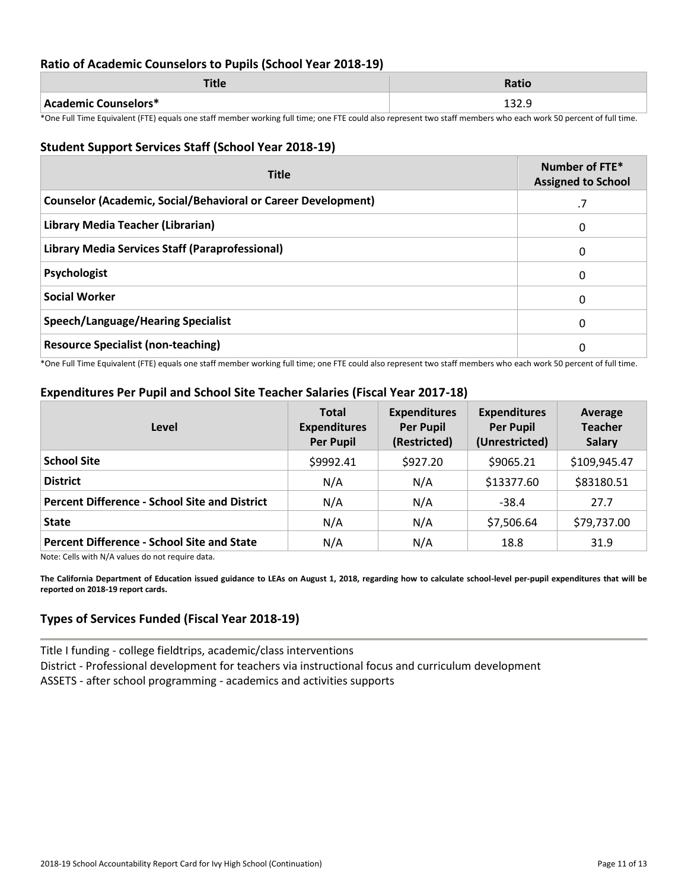#### **Ratio of Academic Counselors to Pupils (School Year 2018-19)**

|                      | 1 L I L      |
|----------------------|--------------|
| Academic Counselors* | <b>LJZ.J</b> |

\*One Full Time Equivalent (FTE) equals one staff member working full time; one FTE could also represent two staff members who each work 50 percent of full time.

#### **Student Support Services Staff (School Year 2018-19)**

| <b>Title</b>                                                         | Number of FTE*<br><b>Assigned to School</b> |
|----------------------------------------------------------------------|---------------------------------------------|
| <b>Counselor (Academic, Social/Behavioral or Career Development)</b> | .7                                          |
| Library Media Teacher (Librarian)                                    | 0                                           |
| Library Media Services Staff (Paraprofessional)                      | 0                                           |
| Psychologist                                                         | 0                                           |
| <b>Social Worker</b>                                                 | 0                                           |
| Speech/Language/Hearing Specialist                                   | 0                                           |
| <b>Resource Specialist (non-teaching)</b>                            | 0                                           |

\*One Full Time Equivalent (FTE) equals one staff member working full time; one FTE could also represent two staff members who each work 50 percent of full time.

# **Expenditures Per Pupil and School Site Teacher Salaries (Fiscal Year 2017-18)**

| Level                                                | <b>Total</b><br><b>Expenditures</b><br><b>Per Pupil</b> | <b>Expenditures</b><br><b>Per Pupil</b><br>(Restricted) | <b>Expenditures</b><br><b>Per Pupil</b><br>(Unrestricted) | Average<br><b>Teacher</b><br><b>Salary</b> |
|------------------------------------------------------|---------------------------------------------------------|---------------------------------------------------------|-----------------------------------------------------------|--------------------------------------------|
| <b>School Site</b>                                   | \$9992.41                                               | \$927.20                                                | \$9065.21                                                 | \$109,945.47                               |
| <b>District</b>                                      | N/A                                                     | N/A                                                     | \$13377.60                                                | \$83180.51                                 |
| <b>Percent Difference - School Site and District</b> | N/A                                                     | N/A                                                     | $-38.4$                                                   | 27.7                                       |
| <b>State</b>                                         | N/A                                                     | N/A                                                     | \$7,506.64                                                | \$79,737.00                                |
| <b>Percent Difference - School Site and State</b>    | N/A                                                     | N/A                                                     | 18.8                                                      | 31.9                                       |

Note: Cells with N/A values do not require data.

**The California Department of Education issued guidance to LEAs on August 1, 2018, regarding how to calculate school-level per-pupil expenditures that will be reported on 2018-19 report cards.**

# **Types of Services Funded (Fiscal Year 2018-19)**

Title I funding - college fieldtrips, academic/class interventions District - Professional development for teachers via instructional focus and curriculum development ASSETS - after school programming - academics and activities supports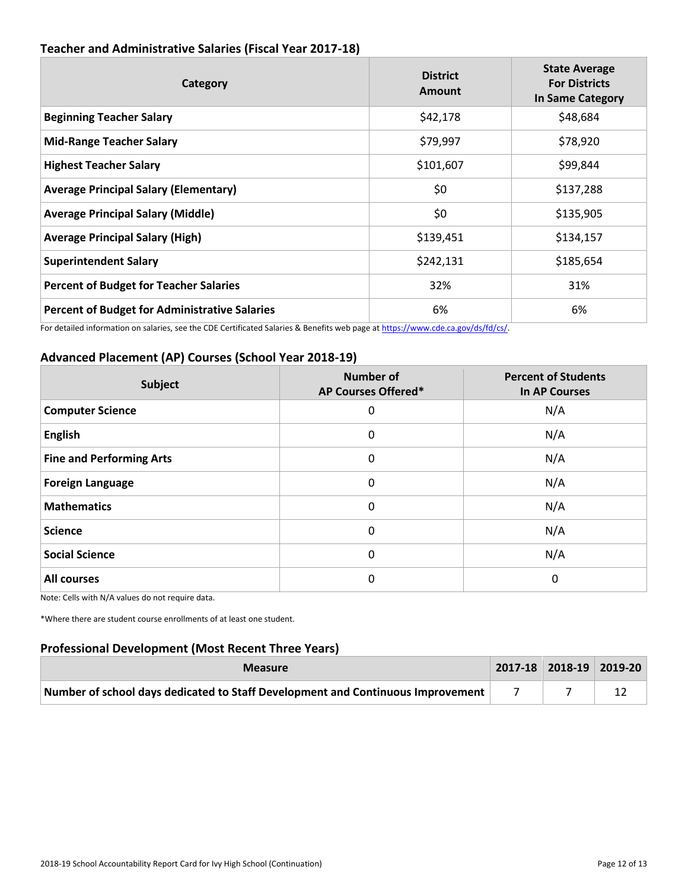| Category                                             | <b>District</b><br>Amount | <b>State Average</b><br><b>For Districts</b><br>In Same Category |
|------------------------------------------------------|---------------------------|------------------------------------------------------------------|
| <b>Beginning Teacher Salary</b>                      | \$42,178                  | \$48,684                                                         |
| <b>Mid-Range Teacher Salary</b>                      | \$79,997                  | \$78,920                                                         |
| <b>Highest Teacher Salary</b>                        | \$101,607                 | \$99,844                                                         |
| <b>Average Principal Salary (Elementary)</b>         | \$0                       | \$137,288                                                        |
| <b>Average Principal Salary (Middle)</b>             | \$0                       | \$135,905                                                        |
| <b>Average Principal Salary (High)</b>               | \$139,451                 | \$134,157                                                        |
| <b>Superintendent Salary</b>                         | \$242,131                 | \$185,654                                                        |
| <b>Percent of Budget for Teacher Salaries</b>        | 32%                       | 31%                                                              |
| <b>Percent of Budget for Administrative Salaries</b> | 6%                        | 6%                                                               |

# **Teacher and Administrative Salaries (Fiscal Year 2017-18)**

For detailed information on salaries, see the CDE Certificated Salaries & Benefits web page at https://www.cde.ca.gov/ds/fd/cs/.

# **Advanced Placement (AP) Courses (School Year 2018-19)**

| Subject                         | <b>Number of</b><br>AP Courses Offered* | <b>Percent of Students</b><br><b>In AP Courses</b> |
|---------------------------------|-----------------------------------------|----------------------------------------------------|
| <b>Computer Science</b>         | 0                                       | N/A                                                |
| <b>English</b>                  | 0                                       | N/A                                                |
| <b>Fine and Performing Arts</b> | 0                                       | N/A                                                |
| <b>Foreign Language</b>         | 0                                       | N/A                                                |
| <b>Mathematics</b>              | 0                                       | N/A                                                |
| <b>Science</b>                  | 0                                       | N/A                                                |
| <b>Social Science</b>           | 0                                       | N/A                                                |
| <b>All courses</b>              | 0                                       | 0                                                  |

Note: Cells with N/A values do not require data.

\*Where there are student course enrollments of at least one student.

# **Professional Development (Most Recent Three Years)**

| <b>Measure</b>                                                                  |  | $\vert$ 2017-18 2018-19 2019-20 |  |
|---------------------------------------------------------------------------------|--|---------------------------------|--|
| Number of school days dedicated to Staff Development and Continuous Improvement |  |                                 |  |